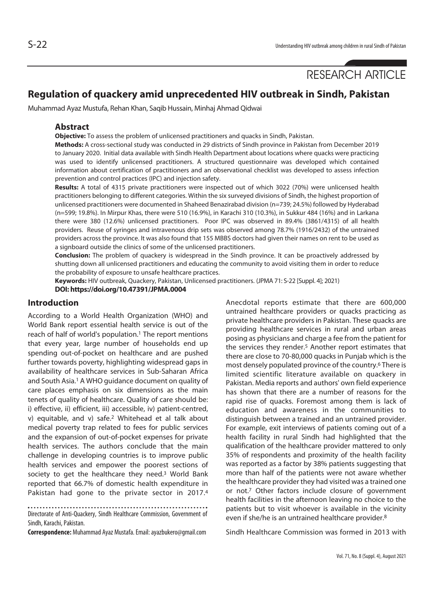RESEARCH ARTICLE

# **Regulation of quackery amid unprecedented HIV outbreak in Sindh, Pakistan**

Muhammad Ayaz Mustufa, Rehan Khan, Saqib Hussain, Minhaj Ahmad Qidwai

### **Abstract**

**Objective:** To assess the problem of unlicensed practitioners and quacks in Sindh, Pakistan.

**Methods:** A cross-sectional study was conducted in 29 districts of Sindh province in Pakistan from December 2019 to January 2020. Initial data available with Sindh Health Department about locations where quacks were practicing was used to identify unlicensed practitioners. A structured questionnaire was developed which contained information about certification of practitioners and an observational checklist was developed to assess infection prevention and control practices (IPC) and injection safety.

**Results:** A total of 4315 private practitioners were inspected out of which 3022 (70%) were unlicensed health practitioners belonging to different categories. Within the six surveyed divisions of Sindh, the highest proportion of unlicensed practitioners were documented in Shaheed Benazirabad division (n=739; 24.5%) followed by Hyderabad (n=599; 19.8%). In Mirpur Khas, there were 510 (16.9%), in Karachi 310 (10.3%), in Sukkur 484 (16%) and in Larkana there were 380 (12.6%) unlicensed practitioners. Poor IPC was observed in 89.4% (3861/4315) of all health providers. Reuse of syringes and intravenous drip sets was observed among 78.7% (1916/2432) of the untrained providers across the province. It was also found that 155 MBBS doctors had given their names on rent to be used as a signboard outside the clinics of some of the unlicensed practitioners.

**Conclusion:** The problem of quackery is widespread in the Sindh province. It can be proactively addressed by shutting down all unlicensed practitioners and educating the community to avoid visiting them in order to reduce the probability of exposure to unsafe healthcare practices.

**Keywords:** HIV outbreak, Quackery, Pakistan, Unlicensed practitioners. (JPMA 71: S-22 [Suppl. 4]; 2021) **DOI: https://doi.org/10.47391/JPMA.0004**

## **Introduction**

According to a World Health Organization (WHO) and World Bank report essential health service is out of the reach of half of world's population.<sup>1</sup> The report mentions that every year, large number of households end up spending out-of-pocket on healthcare and are pushed further towards poverty, highlighting widespread gaps in availability of healthcare services in Sub-Saharan Africa and South Asia.1 A WHO guidance document on quality of care places emphasis on six dimensions as the main tenets of quality of healthcare. Quality of care should be: i) effective, ii) efficient, iii) accessible, iv) patient-centred, v) equitable, and v) safe.2 Whitehead et al talk about medical poverty trap related to fees for public services and the expansion of out-of-pocket expenses for private health services. The authors conclude that the main challenge in developing countries is to improve public health services and empower the poorest sections of society to get the healthcare they need.<sup>3</sup> World Bank reported that 66.7% of domestic health expenditure in Pakistan had gone to the private sector in 2017.<sup>4</sup>

Directorate of Anti-Quackery, Sindh Healthcare Commission, Government of Sindh, Karachi, Pakistan.

**Correspondence:** Muhammad Ayaz Mustafa. Email: ayazbukero@gmail.com

Anecdotal reports estimate that there are 600,000 untrained healthcare providers or quacks practicing as private healthcare providers in Pakistan. These quacks are providing healthcare services in rural and urban areas posing as physicians and charge a fee from the patient for the services they render.<sup>5</sup> Another report estimates that there are close to 70-80,000 quacks in Punjab which is the most densely populated province of the country.6 There is limited scientific literature available on quackery in Pakistan. Media reports and authors' own field experience has shown that there are a number of reasons for the rapid rise of quacks. Foremost among them is lack of education and awareness in the communities to distinguish between a trained and an untrained provider. For example, exit interviews of patients coming out of a health facility in rural Sindh had highlighted that the qualification of the healthcare provider mattered to only 35% of respondents and proximity of the health facility was reported as a factor by 38% patients suggesting that more than half of the patients were not aware whether the healthcare provider they had visited was a trained one or not.7 Other factors include closure of government health facilities in the afternoon leaving no choice to the patients but to visit whoever is available in the vicinity even if she/he is an untrained healthcare provider.8

Sindh Healthcare Commission was formed in 2013 with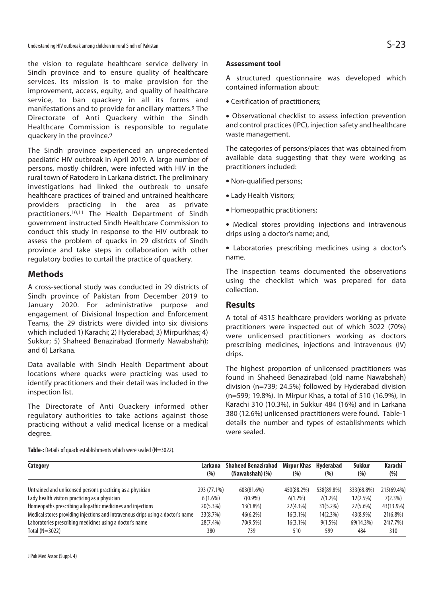the vision to regulate healthcare service delivery in Sindh province and to ensure quality of healthcare services. Its mission is to make provision for the improvement, access, equity, and quality of healthcare service, to ban quackery in all its forms and manifestations and to provide for ancillary matters.9 The Directorate of Anti Quackery within the Sindh Healthcare Commission is responsible to regulate quackery in the province.9

The Sindh province experienced an unprecedented paediatric HIV outbreak in April 2019. A large number of persons, mostly children, were infected with HIV in the rural town of Ratodero in Larkana district. The preliminary investigations had linked the outbreak to unsafe healthcare practices of trained and untrained healthcare providers practicing in the area as private practitioners.10,11 The Health Department of Sindh government instructed Sindh Healthcare Commission to conduct this study in response to the HIV outbreak to assess the problem of quacks in 29 districts of Sindh province and take steps in collaboration with other regulatory bodies to curtail the practice of quackery.

## **Methods**

A cross-sectional study was conducted in 29 districts of Sindh province of Pakistan from December 2019 to January 2020. For administrative purpose and engagement of Divisional Inspection and Enforcement Teams, the 29 districts were divided into six divisions which included 1) Karachi; 2) Hyderabad; 3) Mirpurkhas; 4) Sukkur; 5) Shaheed Benazirabad (formerly Nawabshah); and 6) Larkana.

Data available with Sindh Health Department about locations where quacks were practicing was used to identify practitioners and their detail was included in the inspection list.

The Directorate of Anti Quackery informed other regulatory authorities to take actions against those practicing without a valid medical license or a medical degree.

### **Assessment tool**

A structured questionnaire was developed which contained information about:

• Certification of practitioners:

• Observational checklist to assess infection prevention and control practices (IPC), injection safety and healthcare waste management.

The categories of persons/places that was obtained from available data suggesting that they were working as practitioners included:

- Non-qualified persons;
- Lady Health Visitors;
- Homeopathic practitioners;
- Medical stores providing injections and intravenous drips using a doctor's name; and,
- Laboratories prescribing medicines using a doctor's name.

The inspection teams documented the observations using the checklist which was prepared for data collection.

## **Results**

A total of 4315 healthcare providers working as private practitioners were inspected out of which 3022 (70%) were unlicensed practitioners working as doctors prescribing medicines, injections and intravenous (IV) drips.

The highest proportion of unlicensed practitioners was found in Shaheed Benazirabad (old name Nawabshah) division (n=739; 24.5%) followed by Hyderabad division (n=599; 19.8%). In Mirpur Khas, a total of 510 (16.9%), in Karachi 310 (10.3%), in Sukkur 484 (16%) and in Larkana 380 (12.6%) unlicensed practitioners were found. Table-1 details the number and types of establishments which were sealed.

**Table-:** Details of quack establishments which were sealed (N=3022).

| Category                                                                        | Larkana     | <b>Shaheed Benazirabad</b> | <b>Mirpur Khas</b> | Hvderabad   | Sukkur     | Karachi     |
|---------------------------------------------------------------------------------|-------------|----------------------------|--------------------|-------------|------------|-------------|
|                                                                                 | $(\% )$     | (Nawabshah) (%)            | (%)                | $(\% )$     | (% )       | $(\% )$     |
| Untrained and unlicensed persons practicing as a physician                      | 293 (77.1%) | 603(81.6%)                 | 450(88.2%)         | 538(89.8%)  | 333(68.8%) | 215(69.4%)  |
| Lady health visitors practicing as a physician                                  | $6(1.6\%)$  | 7(0.9%)                    | $6(1.2\%)$         | $7(1.2\%)$  | 12(2.5%)   | 7(2.3%)     |
| Homeopaths prescribing allopathic medicines and injections                      | 20(5.3%)    | 13(1.8%)                   | 22(4.3%)           | $31(5.2\%)$ | 27(5.6%)   | 43(13.9%)   |
| Medical stores providing injections and intravenous drips using a doctor's name | 33(8.7%)    | 46(6.2%)                   | $16(3.1\%)$        | 14(2.3%)    | 43(8.9%)   | $21(6.8\%)$ |
| Laboratories prescribing medicines using a doctor's name                        | 28(7.4%)    | 70(9.5%)                   | $16(3.1\%)$        | $9(1.5\%)$  | 69(14.3%)  | 24(7.7%)    |
| Total (N=3022)                                                                  | 380         | 739                        | 510                | 599         | 484        | 310         |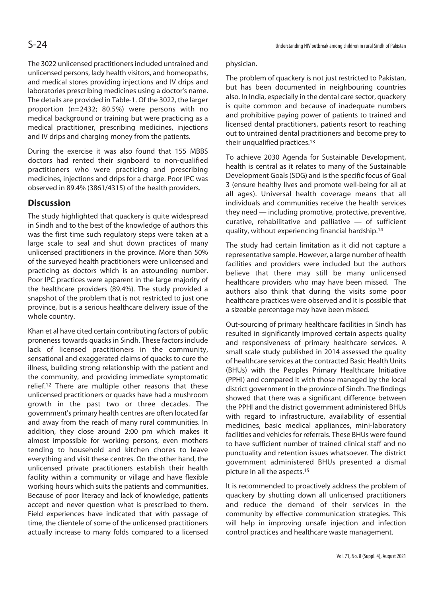The 3022 unlicensed practitioners included untrained and unlicensed persons, lady health visitors, and homeopaths, and medical stores providing injections and IV drips and laboratories prescribing medicines using a doctor's name. The details are provided in Table-1. Of the 3022, the larger proportion (n=2432; 80.5%) were persons with no medical background or training but were practicing as a medical practitioner, prescribing medicines, injections and IV drips and charging money from the patients.

During the exercise it was also found that 155 MBBS doctors had rented their signboard to non-qualified practitioners who were practicing and prescribing medicines, injections and drips for a charge. Poor IPC was observed in 89.4% (3861/4315) of the health providers.

# **Discussion**

The study highlighted that quackery is quite widespread in Sindh and to the best of the knowledge of authors this was the first time such regulatory steps were taken at a large scale to seal and shut down practices of many unlicensed practitioners in the province. More than 50% of the surveyed health practitioners were unlicensed and practicing as doctors which is an astounding number. Poor IPC practices were apparent in the large majority of the healthcare providers (89.4%). The study provided a snapshot of the problem that is not restricted to just one province, but is a serious healthcare delivery issue of the whole country.

Khan et al have cited certain contributing factors of public proneness towards quacks in Sindh. These factors include lack of licensed practitioners in the community, sensational and exaggerated claims of quacks to cure the illness, building strong relationship with the patient and the community, and providing immediate symptomatic relief.12 There are multiple other reasons that these unlicensed practitioners or quacks have had a mushroom growth in the past two or three decades. The government's primary health centres are often located far and away from the reach of many rural communities. In addition, they close around 2:00 pm which makes it almost impossible for working persons, even mothers tending to household and kitchen chores to leave everything and visit these centres. On the other hand, the unlicensed private practitioners establish their health facility within a community or village and have flexible working hours which suits the patients and communities. Because of poor literacy and lack of knowledge, patients accept and never question what is prescribed to them. Field experiences have indicated that with passage of time, the clientele of some of the unlicensed practitioners actually increase to many folds compared to a licensed

### physician.

The problem of quackery is not just restricted to Pakistan, but has been documented in neighbouring countries also. In India, especially in the dental care sector, quackery is quite common and because of inadequate numbers and prohibitive paying power of patients to trained and licensed dental practitioners, patients resort to reaching out to untrained dental practitioners and become prey to their unqualified practices.13

To achieve 2030 Agenda for Sustainable Development, health is central as it relates to many of the Sustainable Development Goals (SDG) and is the specific focus of Goal 3 (ensure healthy lives and promote well-being for all at all ages). Universal health coverage means that all individuals and communities receive the health services they need — including promotive, protective, preventive, curative, rehabilitative and palliative — of sufficient quality, without experiencing financial hardship.14

The study had certain limitation as it did not capture a representative sample. However, a large number of health facilities and providers were included but the authors believe that there may still be many unlicensed healthcare providers who may have been missed. The authors also think that during the visits some poor healthcare practices were observed and it is possible that a sizeable percentage may have been missed.

Out-sourcing of primary healthcare facilities in Sindh has resulted in significantly improved certain aspects quality and responsiveness of primary healthcare services. A small scale study published in 2014 assessed the quality of healthcare services at the contracted Basic Health Units (BHUs) with the Peoples Primary Healthcare Initiative (PPHI) and compared it with those managed by the local district government in the province of Sindh. The findings showed that there was a significant difference between the PPHI and the district government administered BHUs with regard to infrastructure, availability of essential medicines, basic medical appliances, mini-laboratory facilities and vehicles for referrals. These BHUs were found to have sufficient number of trained clinical staff and no punctuality and retention issues whatsoever. The district government administered BHUs presented a dismal picture in all the aspects.15

It is recommended to proactively address the problem of quackery by shutting down all unlicensed practitioners and reduce the demand of their services in the community by effective communication strategies. This will help in improving unsafe injection and infection control practices and healthcare waste management.